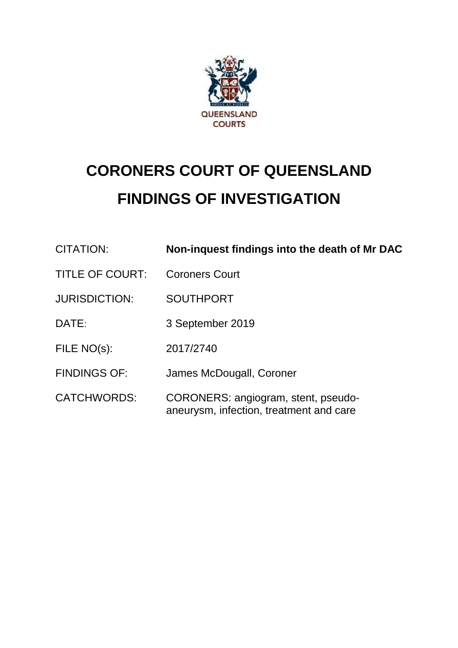

# **CORONERS COURT OF QUEENSLAND FINDINGS OF INVESTIGATION**

| CITATION:              | Non-inquest findings into the death of Mr DAC                                  |
|------------------------|--------------------------------------------------------------------------------|
| <b>TITLE OF COURT:</b> | <b>Coroners Court</b>                                                          |
| <b>JURISDICTION:</b>   | <b>SOUTHPORT</b>                                                               |
| DATE:                  | 3 September 2019                                                               |
| FILE NO(s):            | 2017/2740                                                                      |
| <b>FINDINGS OF:</b>    | James McDougall, Coroner                                                       |
| <b>CATCHWORDS:</b>     | CORONERS: angiogram, stent, pseudo-<br>aneurysm, infection, treatment and care |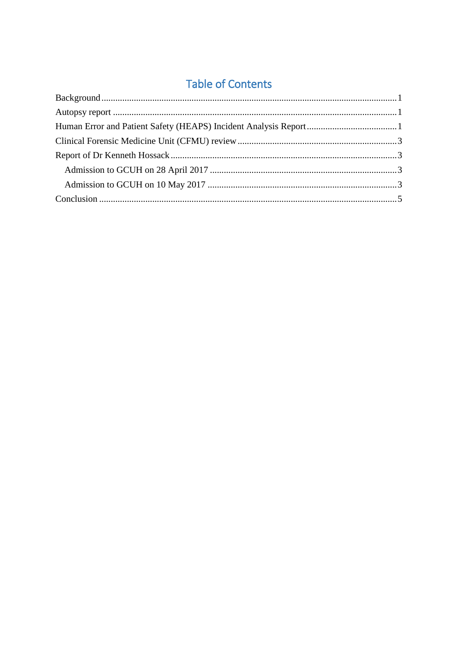## **Table of Contents**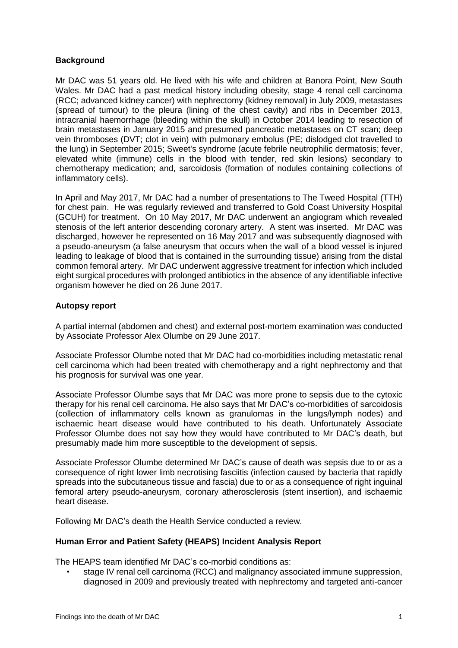#### <span id="page-2-0"></span>**Background**

Mr DAC was 51 years old. He lived with his wife and children at Banora Point, New South Wales. Mr DAC had a past medical history including obesity, stage 4 renal cell carcinoma (RCC; advanced kidney cancer) with nephrectomy (kidney removal) in July 2009, metastases (spread of tumour) to the pleura (lining of the chest cavity) and ribs in December 2013, intracranial haemorrhage (bleeding within the skull) in October 2014 leading to resection of brain metastases in January 2015 and presumed pancreatic metastases on CT scan; deep vein thromboses (DVT; clot in vein) with pulmonary embolus (PE; dislodged clot travelled to the lung) in September 2015; Sweet's syndrome (acute febrile neutrophilic dermatosis; fever, elevated white (immune) cells in the blood with tender, red skin lesions) secondary to chemotherapy medication; and, sarcoidosis (formation of nodules containing collections of inflammatory cells).

In April and May 2017, Mr DAC had a number of presentations to The Tweed Hospital (TTH) for chest pain. He was regularly reviewed and transferred to Gold Coast University Hospital (GCUH) for treatment. On 10 May 2017, Mr DAC underwent an angiogram which revealed stenosis of the left anterior descending coronary artery. A stent was inserted. Mr DAC was discharged, however he represented on 16 May 2017 and was subsequently diagnosed with a pseudo-aneurysm (a false aneurysm that occurs when the wall of a blood vessel is injured leading to leakage of blood that is contained in the surrounding tissue) arising from the distal common femoral artery. Mr DAC underwent aggressive treatment for infection which included eight surgical procedures with prolonged antibiotics in the absence of any identifiable infective organism however he died on 26 June 2017.

#### <span id="page-2-1"></span>**Autopsy report**

A partial internal (abdomen and chest) and external post-mortem examination was conducted by Associate Professor Alex Olumbe on 29 June 2017.

Associate Professor Olumbe noted that Mr DAC had co-morbidities including metastatic renal cell carcinoma which had been treated with chemotherapy and a right nephrectomy and that his prognosis for survival was one year.

Associate Professor Olumbe says that Mr DAC was more prone to sepsis due to the cytoxic therapy for his renal cell carcinoma. He also says that Mr DAC's co-morbidities of sarcoidosis (collection of inflammatory cells known as granulomas in the lungs/lymph nodes) and ischaemic heart disease would have contributed to his death. Unfortunately Associate Professor Olumbe does not say how they would have contributed to Mr DAC's death, but presumably made him more susceptible to the development of sepsis.

Associate Professor Olumbe determined Mr DAC's cause of death was sepsis due to or as a consequence of right lower limb necrotising fasciitis (infection caused by bacteria that rapidly spreads into the subcutaneous tissue and fascia) due to or as a consequence of right inguinal femoral artery pseudo-aneurysm, coronary atherosclerosis (stent insertion), and ischaemic heart disease.

<span id="page-2-2"></span>Following Mr DAC's death the Health Service conducted a review.

#### **Human Error and Patient Safety (HEAPS) Incident Analysis Report**

The HEAPS team identified Mr DAC's co-morbid conditions as:

• stage IV renal cell carcinoma (RCC) and malignancy associated immune suppression, diagnosed in 2009 and previously treated with nephrectomy and targeted anti-cancer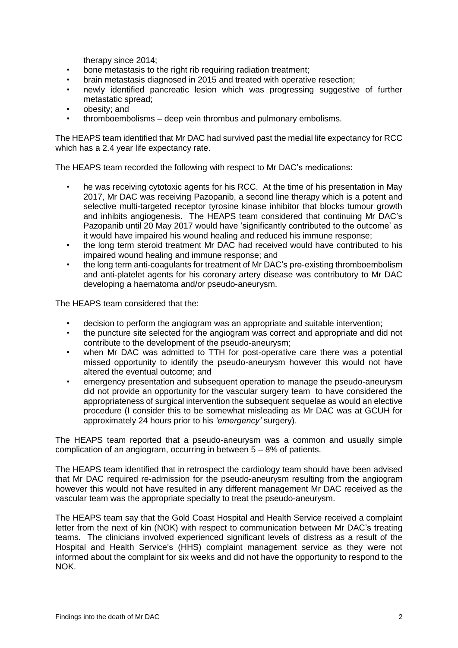therapy since 2014;

- bone metastasis to the right rib requiring radiation treatment;
- brain metastasis diagnosed in 2015 and treated with operative resection;
- newly identified pancreatic lesion which was progressing suggestive of further metastatic spread;
- obesity; and
- thromboembolisms deep vein thrombus and pulmonary embolisms.

The HEAPS team identified that Mr DAC had survived past the medial life expectancy for RCC which has a 2.4 year life expectancy rate.

The HEAPS team recorded the following with respect to Mr DAC's medications:

- he was receiving cytotoxic agents for his RCC. At the time of his presentation in May 2017, Mr DAC was receiving Pazopanib, a second line therapy which is a potent and selective multi-targeted receptor tyrosine kinase inhibitor that blocks tumour growth and inhibits angiogenesis. The HEAPS team considered that continuing Mr DAC's Pazopanib until 20 May 2017 would have 'significantly contributed to the outcome' as it would have impaired his wound healing and reduced his immune response;
- the long term steroid treatment Mr DAC had received would have contributed to his impaired wound healing and immune response; and
- the long term anti-coagulants for treatment of Mr DAC's pre-existing thromboembolism and anti-platelet agents for his coronary artery disease was contributory to Mr DAC developing a haematoma and/or pseudo-aneurysm.

The HEAPS team considered that the:

- decision to perform the angiogram was an appropriate and suitable intervention;
- the puncture site selected for the angiogram was correct and appropriate and did not contribute to the development of the pseudo-aneurysm;
- when Mr DAC was admitted to TTH for post-operative care there was a potential missed opportunity to identify the pseudo-aneurysm however this would not have altered the eventual outcome; and
- emergency presentation and subsequent operation to manage the pseudo-aneurysm did not provide an opportunity for the vascular surgery team to have considered the appropriateness of surgical intervention the subsequent sequelae as would an elective procedure (I consider this to be somewhat misleading as Mr DAC was at GCUH for approximately 24 hours prior to his *'emergency'* surgery).

The HEAPS team reported that a pseudo-aneurysm was a common and usually simple complication of an angiogram, occurring in between 5 – 8% of patients.

The HEAPS team identified that in retrospect the cardiology team should have been advised that Mr DAC required re-admission for the pseudo-aneurysm resulting from the angiogram however this would not have resulted in any different management Mr DAC received as the vascular team was the appropriate specialty to treat the pseudo-aneurysm.

The HEAPS team say that the Gold Coast Hospital and Health Service received a complaint letter from the next of kin (NOK) with respect to communication between Mr DAC's treating teams. The clinicians involved experienced significant levels of distress as a result of the Hospital and Health Service's (HHS) complaint management service as they were not informed about the complaint for six weeks and did not have the opportunity to respond to the NOK.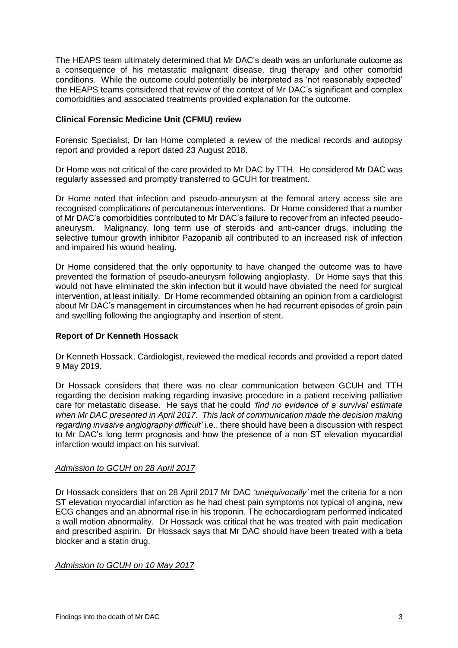The HEAPS team ultimately determined that Mr DAC's death was an unfortunate outcome as a consequence of his metastatic malignant disease, drug therapy and other comorbid conditions. While the outcome could potentially be interpreted as 'not reasonably expected' the HEAPS teams considered that review of the context of Mr DAC's significant and complex comorbidities and associated treatments provided explanation for the outcome.

#### <span id="page-4-0"></span>**Clinical Forensic Medicine Unit (CFMU) review**

Forensic Specialist, Dr Ian Home completed a review of the medical records and autopsy report and provided a report dated 23 August 2018.

Dr Home was not critical of the care provided to Mr DAC by TTH. He considered Mr DAC was regularly assessed and promptly transferred to GCUH for treatment.

Dr Home noted that infection and pseudo-aneurysm at the femoral artery access site are recognised complications of percutaneous interventions. Dr Home considered that a number of Mr DAC's comorbidities contributed to Mr DAC's failure to recover from an infected pseudoaneurysm. Malignancy, long term use of steroids and anti-cancer drugs, including the selective tumour growth inhibitor Pazopanib all contributed to an increased risk of infection and impaired his wound healing.

Dr Home considered that the only opportunity to have changed the outcome was to have prevented the formation of pseudo-aneurysm following angioplasty. Dr Home says that this would not have eliminated the skin infection but it would have obviated the need for surgical intervention, at least initially. Dr Home recommended obtaining an opinion from a cardiologist about Mr DAC's management in circumstances when he had recurrent episodes of groin pain and swelling following the angiography and insertion of stent.

#### <span id="page-4-1"></span>**Report of Dr Kenneth Hossack**

Dr Kenneth Hossack, Cardiologist, reviewed the medical records and provided a report dated 9 May 2019.

Dr Hossack considers that there was no clear communication between GCUH and TTH regarding the decision making regarding invasive procedure in a patient receiving palliative care for metastatic disease. He says that he could *'find no evidence of a survival estimate when Mr DAC presented in April 2017. This lack of communication made the decision making regarding invasive angiography difficult'* i.e., there should have been a discussion with respect to Mr DAC's long term prognosis and how the presence of a non ST elevation myocardial infarction would impact on his survival.

#### <span id="page-4-2"></span>*Admission to GCUH on 28 April 2017*

Dr Hossack considers that on 28 April 2017 Mr DAC *'unequivocally'* met the criteria for a non ST elevation myocardial infarction as he had chest pain symptoms not typical of angina, new ECG changes and an abnormal rise in his troponin. The echocardiogram performed indicated a wall motion abnormality. Dr Hossack was critical that he was treated with pain medication and prescribed aspirin. Dr Hossack says that Mr DAC should have been treated with a beta blocker and a statin drug.

#### <span id="page-4-3"></span>*Admission to GCUH on 10 May 2017*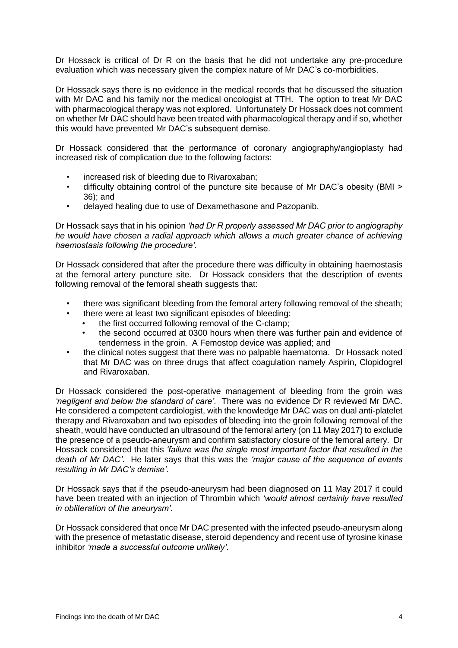Dr Hossack is critical of Dr R on the basis that he did not undertake any pre-procedure evaluation which was necessary given the complex nature of Mr DAC's co-morbidities.

Dr Hossack says there is no evidence in the medical records that he discussed the situation with Mr DAC and his family nor the medical oncologist at TTH. The option to treat Mr DAC with pharmacological therapy was not explored. Unfortunately Dr Hossack does not comment on whether Mr DAC should have been treated with pharmacological therapy and if so, whether this would have prevented Mr DAC's subsequent demise.

Dr Hossack considered that the performance of coronary angiography/angioplasty had increased risk of complication due to the following factors:

- increased risk of bleeding due to Rivaroxaban;
- difficulty obtaining control of the puncture site because of Mr DAC's obesity (BMI > 36); and
- delayed healing due to use of Dexamethasone and Pazopanib.

Dr Hossack says that in his opinion *'had Dr R properly assessed Mr DAC prior to angiography he would have chosen a radial approach which allows a much greater chance of achieving haemostasis following the procedure'.* 

Dr Hossack considered that after the procedure there was difficulty in obtaining haemostasis at the femoral artery puncture site. Dr Hossack considers that the description of events following removal of the femoral sheath suggests that:

- there was significant bleeding from the femoral artery following removal of the sheath;
	- there were at least two significant episodes of bleeding:
		- the first occurred following removal of the C-clamp;
		- the second occurred at 0300 hours when there was further pain and evidence of tenderness in the groin. A Femostop device was applied; and
- the clinical notes suggest that there was no palpable haematoma. Dr Hossack noted that Mr DAC was on three drugs that affect coagulation namely Aspirin, Clopidogrel and Rivaroxaban.

Dr Hossack considered the post-operative management of bleeding from the groin was *'negligent and below the standard of care'*. There was no evidence Dr R reviewed Mr DAC. He considered a competent cardiologist, with the knowledge Mr DAC was on dual anti-platelet therapy and Rivaroxaban and two episodes of bleeding into the groin following removal of the sheath, would have conducted an ultrasound of the femoral artery (on 11 May 2017) to exclude the presence of a pseudo-aneurysm and confirm satisfactory closure of the femoral artery. Dr Hossack considered that this *'failure was the single most important factor that resulted in the death of Mr DAC'*. He later says that this was the *'major cause of the sequence of events resulting in Mr DAC's demise'*.

Dr Hossack says that if the pseudo-aneurysm had been diagnosed on 11 May 2017 it could have been treated with an injection of Thrombin which *'would almost certainly have resulted in obliteration of the aneurysm'*.

Dr Hossack considered that once Mr DAC presented with the infected pseudo-aneurysm along with the presence of metastatic disease, steroid dependency and recent use of tyrosine kinase inhibitor *'made a successful outcome unlikely'*.